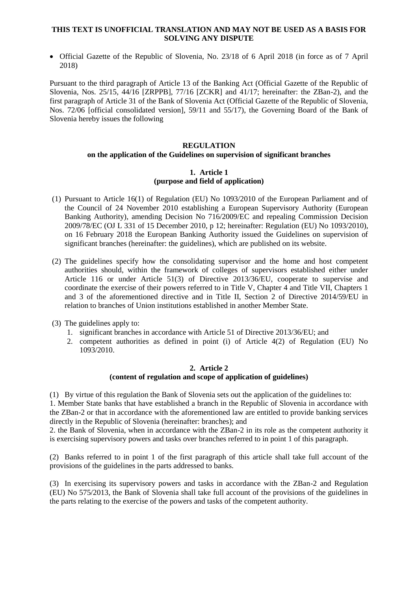#### **THIS TEXT IS UNOFFICIAL TRANSLATION AND MAY NOT BE USED AS A BASIS FOR SOLVING ANY DISPUTE**

 Official Gazette of the Republic of Slovenia, No. 23/18 of 6 April 2018 (in force as of 7 April 2018)

Pursuant to the third paragraph of Article 13 of the Banking Act (Official Gazette of the Republic of Slovenia, Nos. 25/15, 44/16 [ZRPPB], 77/16 [ZCKR] and 41/17; hereinafter: the ZBan-2), and the first paragraph of Article 31 of the Bank of Slovenia Act (Official Gazette of the Republic of Slovenia, Nos. 72/06 [official consolidated version], 59/11 and 55/17), the Governing Board of the Bank of Slovenia hereby issues the following

### **REGULATION**

## **on the application of the Guidelines on supervision of significant branches**

## **1. Article 1 (purpose and field of application)**

- (1) Pursuant to Article 16(1) of Regulation (EU) No 1093/2010 of the European Parliament and of the Council of 24 November 2010 establishing a European Supervisory Authority (European Banking Authority), amending Decision No 716/2009/EC and repealing Commission Decision 2009/78/EC (OJ L 331 of 15 December 2010, p 12; hereinafter: Regulation (EU) No 1093/2010), on 16 February 2018 the European Banking Authority issued the Guidelines on supervision of significant branches (hereinafter: the guidelines), which are published on its website.
- (2) The guidelines specify how the consolidating supervisor and the home and host competent authorities should, within the framework of colleges of supervisors established either under Article 116 or under Article 51(3) of Directive 2013/36/EU, cooperate to supervise and coordinate the exercise of their powers referred to in Title V, Chapter 4 and Title VII, Chapters 1 and 3 of the aforementioned directive and in Title II, Section 2 of Directive 2014/59/EU in relation to branches of Union institutions established in another Member State.
- (3) The guidelines apply to:
	- 1. significant branches in accordance with Article 51 of Directive 2013/36/EU; and
	- 2. competent authorities as defined in point (i) of Article 4(2) of Regulation (EU) No 1093/2010.

#### **2. Article 2 (content of regulation and scope of application of guidelines)**

(1) By virtue of this regulation the Bank of Slovenia sets out the application of the guidelines to: 1. Member State banks that have established a branch in the Republic of Slovenia in accordance with the ZBan-2 or that in accordance with the aforementioned law are entitled to provide banking services directly in the Republic of Slovenia (hereinafter: branches); and

2. the Bank of Slovenia, when in accordance with the ZBan-2 in its role as the competent authority it is exercising supervisory powers and tasks over branches referred to in point 1 of this paragraph.

(2) Banks referred to in point 1 of the first paragraph of this article shall take full account of the provisions of the guidelines in the parts addressed to banks.

(3) In exercising its supervisory powers and tasks in accordance with the ZBan-2 and Regulation (EU) No 575/2013, the Bank of Slovenia shall take full account of the provisions of the guidelines in the parts relating to the exercise of the powers and tasks of the competent authority.